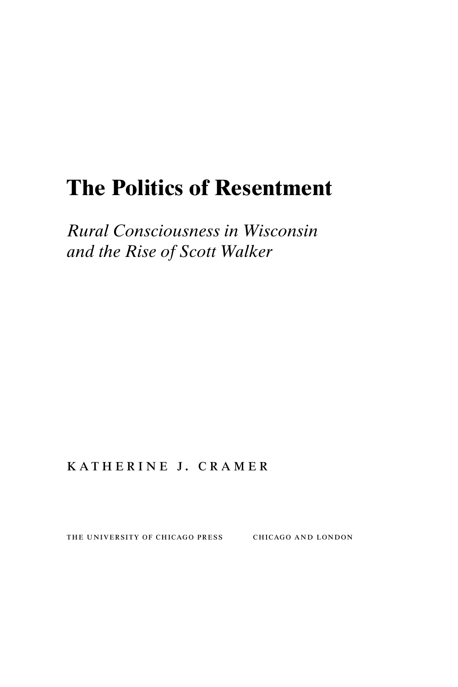# **The Politics of Resentment**

*Rural Consciousness in Wisconsin and the Rise of Scott Walker*

katherine j. cramer

the university of chicago press chicago and london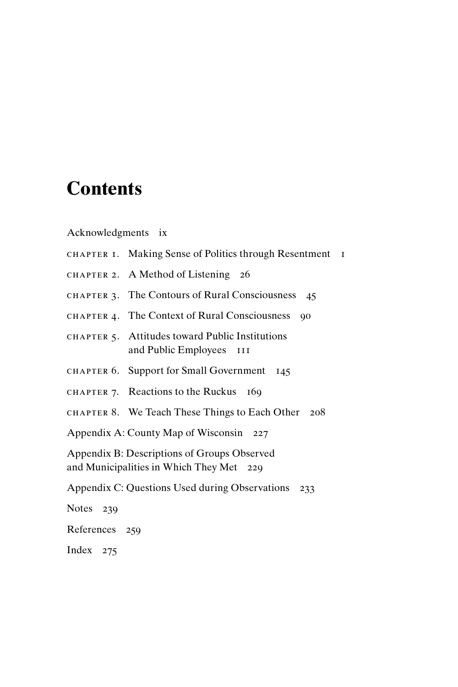## **Contents**

Acknowledgments ix

- chapter 1. Making Sense of Politics through Resentment 1
- CHAPTER 2. A Method of Listening 26
- chapter 3. The Contours of Rural Consciousness 45
- chapter 4. The Context of Rural Consciousness 90
- chapter 5. Attitudes toward Public Institutions and Public Employees III
- chapter 6. Support for Small Government 145
- CHAPTER 7. Reactions to the Ruckus  $169$
- chapter 8. We Teach These Things to Each Other 208
- Appendix A: County Map of Wisconsin 227

Appendix B: Descriptions of Groups Observed and Municipalities in Which They Met 229

Appendix C: Questions Used during Observations 233

Notes 239

References 259

Index 275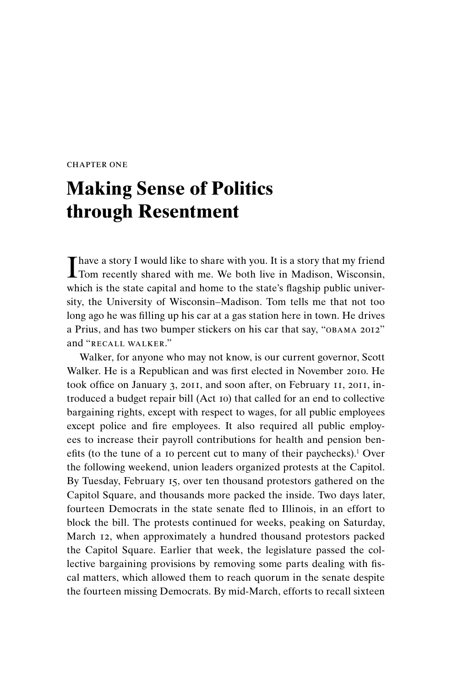#### Chapter One

## **Making Sense of Politics through Resentment**

Thave a story I would like to share with you. It is a story that my friend Tom recently shared with me. We both live in Madison, Wisconsin, which is the state capital and home to the state's flagship public university, the University of Wisconsin– Madison. Tom tells me that not too long ago he was filling up his car at a gas station here in town. He drives a Prius, and has two bumper stickers on his car that say, "obama 2012" and "recall walker."

Walker, for anyone who may not know, is our current governor, Scott Walker. He is a Republican and was first elected in November 2010. He took office on January 3, 2011, and soon after, on February 11, 2011, introduced a budget repair bill (Act 10) that called for an end to collective bargaining rights, except with respect to wages, for all public employees except police and fire employees. It also required all public employees to increase their payroll contributions for health and pension benefits (to the tune of a 10 percent cut to many of their paychecks).<sup>1</sup> Over the following weekend, union leaders organized protests at the Capitol. By Tuesday, February 15, over ten thousand protestors gathered on the Capitol Square, and thousands more packed the inside. Two days later, fourteen Democrats in the state senate fled to Illinois, in an effort to block the bill. The protests continued for weeks, peaking on Saturday, March 12, when approximately a hundred thousand protestors packed the Capitol Square. Earlier that week, the legislature passed the collective bargaining provisions by removing some parts dealing with fiscal matters, which allowed them to reach quorum in the senate despite the fourteen missing Democrats. By mid- March, efforts to recall sixteen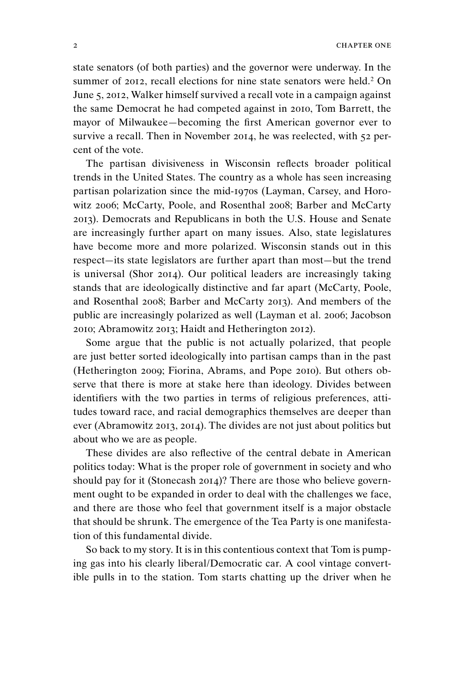state senators (of both parties) and the governor were underway. In the summer of 2012, recall elections for nine state senators were held.<sup>2</sup> On June 5, 2012, Walker himself survived a recall vote in a campaign against the same Democrat he had competed against in 2010, Tom Barrett, the mayor of Milwaukee–becoming the first American governor ever to survive a recall. Then in November 2014, he was reelected, with 52 percent of the vote.

The partisan divisiveness in Wisconsin reflects broader political trends in the United States. The country as a whole has seen increasing partisan polarization since the mid- 1970s (Layman, Carsey, and Horowitz 2006; McCarty, Poole, and Rosenthal 2008; Barber and McCarty 2013). Democrats and Republicans in both the U.S. House and Senate are increasingly further apart on many issues. Also, state legislatures have become more and more polarized. Wisconsin stands out in this respect— its state legislators are further apart than most— but the trend is universal (Shor 2014). Our political leaders are increasingly taking stands that are ideologically distinctive and far apart (McCarty, Poole, and Rosenthal 2008; Barber and McCarty 2013). And members of the public are increasingly polarized as well (Layman et al. 2006; Jacobson 2010; Abramowitz 2013; Haidt and Hetherington 2012).

Some argue that the public is not actually polarized, that people are just better sorted ideologically into partisan camps than in the past (Hetherington 2009; Fiorina, Abrams, and Pope 2010). But others observe that there is more at stake here than ideology. Divides between identifiers with the two parties in terms of religious preferences, attitudes toward race, and racial demographics themselves are deeper than ever (Abramowitz 2013, 2014). The divides are not just about politics but about who we are as people.

These divides are also reflective of the central debate in American politics today: What is the proper role of government in society and who should pay for it (Stonecash 2014)? There are those who believe government ought to be expanded in order to deal with the challenges we face, and there are those who feel that government itself is a major obstacle that should be shrunk. The emergence of the Tea Party is one manifestation of this fundamental divide.

So back to my story. It is in this contentious context that Tom is pumping gas into his clearly liberal/Democratic car. A cool vintage convertible pulls in to the station. Tom starts chatting up the driver when he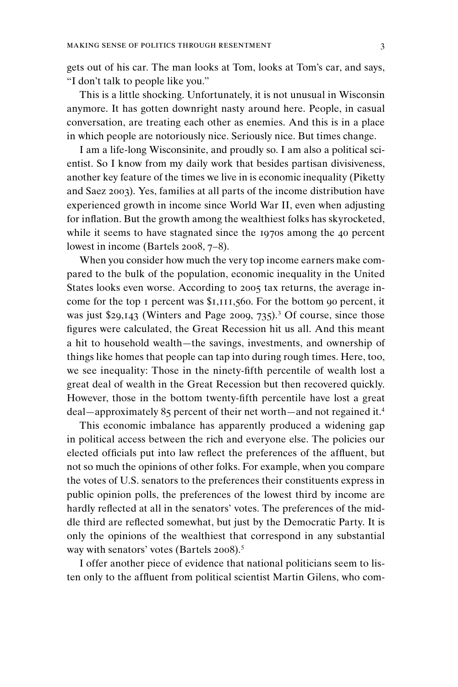gets out of his car. The man looks at Tom, looks at Tom's car, and says, "I don't talk to people like you."

This is a little shocking. Unfortunately, it is not unusual in Wisconsin anymore. It has gotten downright nasty around here. People, in casual conversation, are treating each other as enemies. And this is in a place in which people are notoriously nice. Seriously nice. But times change.

I am a life- long Wisconsinite, and proudly so. I am also a political scientist. So I know from my daily work that besides partisan divisiveness, another key feature of the times we live in is economic inequality (Piketty and Saez 2003). Yes, families at all parts of the income distribution have experienced growth in income since World War II, even when adjusting for inflation. But the growth among the wealthiest folks has skyrocketed, while it seems to have stagnated since the 1970s among the 40 percent lowest in income (Bartels  $2008, 7-8$ ).

When you consider how much the very top income earners make compared to the bulk of the population, economic inequality in the United States looks even worse. According to 2005 tax returns, the average income for the top 1 percent was \$1,111,560. For the bottom 90 percent, it was just  $$29,143$  (Winters and Page 2009, 735).<sup>3</sup> Of course, since those figures were calculated, the Great Recession hit us all. And this meant a hit to household wealth— the savings, investments, and ownership of things like homes that people can tap into during rough times. Here, too, we see inequality: Those in the ninety-fifth percentile of wealth lost a great deal of wealth in the Great Recession but then recovered quickly. However, those in the bottom twenty-fifth percentile have lost a great deal—approximately 85 percent of their net worth—and not regained it.<sup>4</sup>

This economic imbalance has apparently produced a widening gap in political access between the rich and everyone else. The policies our elected officials put into law reflect the preferences of the affluent, but not so much the opinions of other folks. For example, when you compare the votes of U.S. senators to the preferences their constituents express in public opinion polls, the preferences of the lowest third by income are hardly reflected at all in the senators' votes. The preferences of the middle third are reflected somewhat, but just by the Democratic Party. It is only the opinions of the wealthiest that correspond in any substantial way with senators' votes (Bartels 2008).<sup>5</sup>

I offer another piece of evidence that national politicians seem to listen only to the affluent from political scientist Martin Gilens, who com-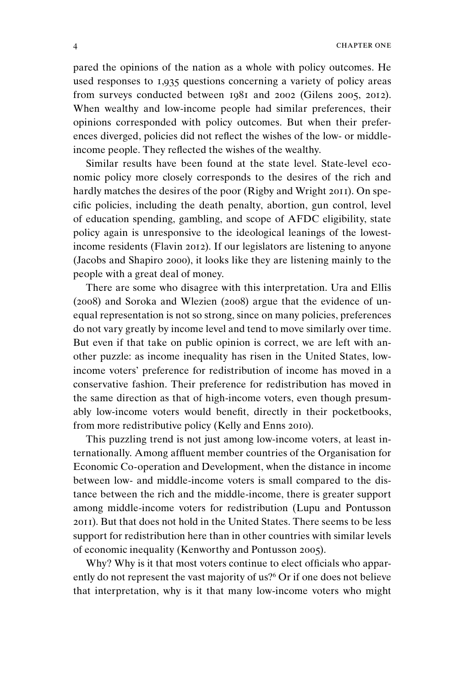pared the opinions of the nation as a whole with policy outcomes. He used responses to 1,935 questions concerning a variety of policy areas from surveys conducted between 1981 and 2002 (Gilens 2005, 2012). When wealthy and low-income people had similar preferences, their opinions corresponded with policy outcomes. But when their preferences diverged, policies did not reflect the wishes of the low- or middleincome people. They reflected the wishes of the wealthy.

Similar results have been found at the state level. State- level economic policy more closely corresponds to the desires of the rich and hardly matches the desires of the poor (Rigby and Wright 2011). On specific policies, including the death penalty, abortion, gun control, level of education spending, gambling, and scope of AFDC eligibility, state policy again is unresponsive to the ideological leanings of the lowestincome residents (Flavin 2012). If our legislators are listening to anyone (Jacobs and Shapiro 2000), it looks like they are listening mainly to the people with a great deal of money.

There are some who disagree with this interpretation. Ura and Ellis (2008) and Soroka and Wlezien (2008) argue that the evidence of unequal representation is not so strong, since on many policies, preferences do not vary greatly by income level and tend to move similarly over time. But even if that take on public opinion is correct, we are left with another puzzle: as income inequality has risen in the United States, lowincome voters' preference for redistribution of income has moved in a conservative fashion. Their preference for redistribution has moved in the same direction as that of high- income voters, even though presumably low-income voters would benefit, directly in their pocketbooks, from more redistributive policy (Kelly and Enns 2010).

This puzzling trend is not just among low- income voters, at least internationally. Among affluent member countries of the Organisation for Economic Co- operation and Development, when the distance in income between low- and middle- income voters is small compared to the distance between the rich and the middle- income, there is greater support among middle- income voters for redistribution (Lupu and Pontusson 2011). But that does not hold in the United States. There seems to be less support for redistribution here than in other countries with similar levels of economic inequality (Kenworthy and Pontusson 2005).

Why? Why is it that most voters continue to elect officials who apparently do not represent the vast majority of us?<sup>6</sup> Or if one does not believe that interpretation, why is it that many low-income voters who might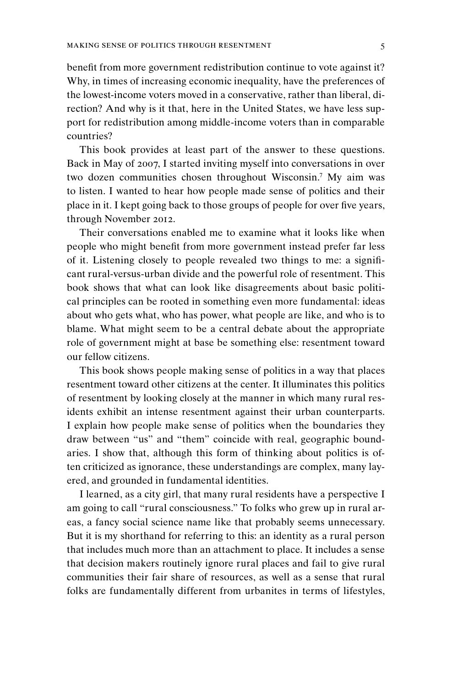benefit from more government redistribution continue to vote against it? Why, in times of increasing economic inequality, have the preferences of the lowest-income voters moved in a conservative, rather than liberal, direction? And why is it that, here in the United States, we have less support for redistribution among middle- income voters than in comparable countries?

This book provides at least part of the answer to these questions. Back in May of 2007, I started inviting myself into conversations in over two dozen communities chosen throughout Wisconsin.<sup>7</sup> My aim was to listen. I wanted to hear how people made sense of politics and their place in it. I kept going back to those groups of people for over five years, through November 2012.

Their conversations enabled me to examine what it looks like when people who might benefit from more government instead prefer far less of it. Listening closely to people revealed two things to me: a significant rural-versus-urban divide and the powerful role of resentment. This book shows that what can look like disagreements about basic political principles can be rooted in something even more fundamental: ideas about who gets what, who has power, what people are like, and who is to blame. What might seem to be a central debate about the appropriate role of government might at base be something else: resentment toward our fellow citizens.

This book shows people making sense of politics in a way that places resentment toward other citizens at the center. It illuminates this politics of resentment by looking closely at the manner in which many rural residents exhibit an intense resentment against their urban counterparts. I explain how people make sense of politics when the boundaries they draw between "us" and "them" coincide with real, geographic boundaries. I show that, although this form of thinking about politics is often criticized as ignorance, these understandings are complex, many layered, and grounded in fundamental identities.

I learned, as a city girl, that many rural residents have a perspective I am going to call "rural consciousness." To folks who grew up in rural areas, a fancy social science name like that probably seems unnecessary. But it is my shorthand for referring to this: an identity as a rural person that includes much more than an attachment to place. It includes a sense that decision makers routinely ignore rural places and fail to give rural communities their fair share of resources, as well as a sense that rural folks are fundamentally different from urbanites in terms of lifestyles,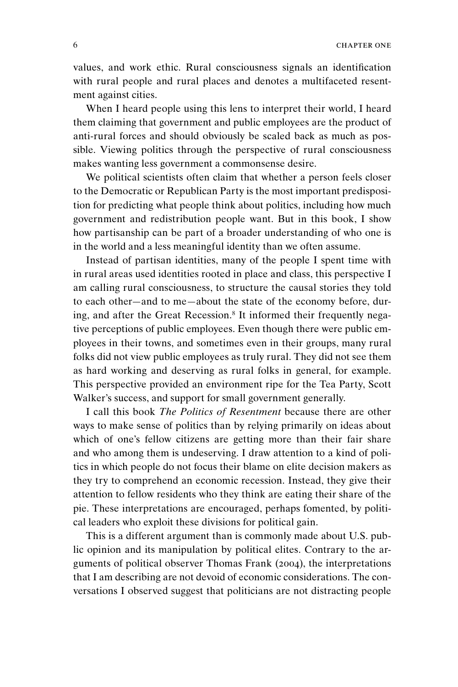values, and work ethic. Rural consciousness signals an identification with rural people and rural places and denotes a multifaceted resentment against cities.

When I heard people using this lens to interpret their world, I heard them claiming that government and public employees are the product of anti-rural forces and should obviously be scaled back as much as possible. Viewing politics through the perspective of rural consciousness makes wanting less government a commonsense desire.

We political scientists often claim that whether a person feels closer to the Democratic or Republican Party is the most important predisposition for predicting what people think about politics, including how much government and redistribution people want. But in this book, I show how partisanship can be part of a broader understanding of who one is in the world and a less meaningful identity than we often assume.

Instead of partisan identities, many of the people I spent time with in rural areas used identities rooted in place and class, this perspective I am calling rural consciousness, to structure the causal stories they told to each other— and to me— about the state of the economy before, during, and after the Great Recession.<sup>8</sup> It informed their frequently negative perceptions of public employees. Even though there were public employees in their towns, and sometimes even in their groups, many rural folks did not view public employees as truly rural. They did not see them as hard working and deserving as rural folks in general, for example. This perspective provided an environment ripe for the Tea Party, Scott Walker's success, and support for small government generally.

I call this book *The Politics of Resentment* because there are other ways to make sense of politics than by relying primarily on ideas about which of one's fellow citizens are getting more than their fair share and who among them is undeserving. I draw attention to a kind of politics in which people do not focus their blame on elite decision makers as they try to comprehend an economic recession. Instead, they give their attention to fellow residents who they think are eating their share of the pie. These interpretations are encouraged, perhaps fomented, by political leaders who exploit these divisions for political gain.

This is a different argument than is commonly made about U.S. public opinion and its manipulation by political elites. Contrary to the arguments of political observer Thomas Frank (2004), the interpretations that I am describing are not devoid of economic considerations. The conversations I observed suggest that politicians are not distracting people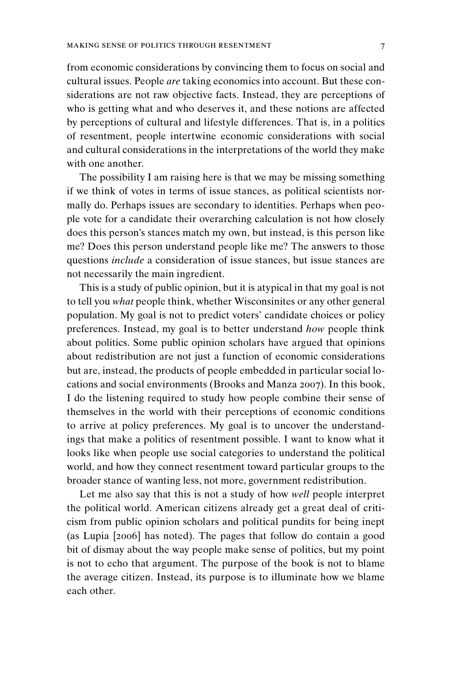from economic considerations by convincing them to focus on social and cultural issues. People *are* taking economics into account. But these considerations are not raw objective facts. Instead, they are perceptions of who is getting what and who deserves it, and these notions are affected by perceptions of cultural and lifestyle differences. That is, in a politics of resentment, people intertwine economic considerations with social and cultural considerations in the interpretations of the world they make with one another.

The possibility I am raising here is that we may be missing something if we think of votes in terms of issue stances, as political scientists normally do. Perhaps issues are secondary to identities. Perhaps when people vote for a candidate their overarching calculation is not how closely does this person's stances match my own, but instead, is this person like me? Does this person understand people like me? The answers to those questions *include* a consideration of issue stances, but issue stances are not necessarily the main ingredient.

This is a study of public opinion, but it is atypical in that my goal is not to tell you *what* people think, whether Wisconsinites or any other general population. My goal is not to predict voters' candidate choices or policy preferences. Instead, my goal is to better understand *how* people think about politics. Some public opinion scholars have argued that opinions about redistribution are not just a function of economic considerations but are, instead, the products of people embedded in particular social locations and social environments (Brooks and Manza 2007). In this book, I do the listening required to study how people combine their sense of themselves in the world with their perceptions of economic conditions to arrive at policy preferences. My goal is to uncover the understandings that make a politics of resentment possible. I want to know what it looks like when people use social categories to understand the political world, and how they connect resentment toward particular groups to the broader stance of wanting less, not more, government redistribution.

Let me also say that this is not a study of how *well* people interpret the political world. American citizens already get a great deal of criticism from public opinion scholars and political pundits for being inept (as Lupia [2006] has noted). The pages that follow do contain a good bit of dismay about the way people make sense of politics, but my point is not to echo that argument. The purpose of the book is not to blame the average citizen. Instead, its purpose is to illuminate how we blame each other.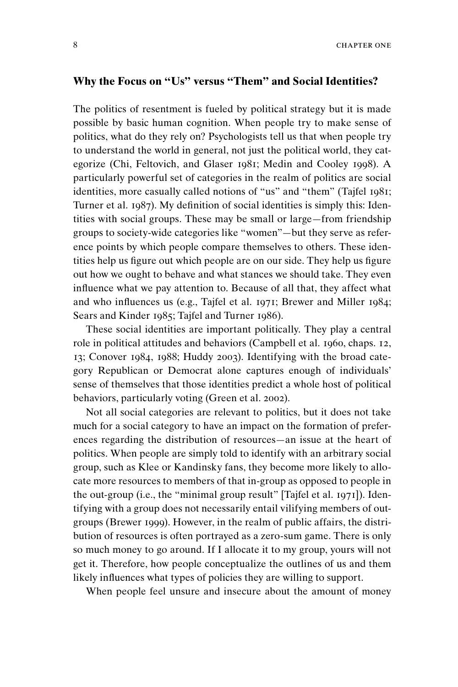### **Why the Focus on "Us" versus "Them" and Social Identities?**

The politics of resentment is fueled by political strategy but it is made possible by basic human cognition. When people try to make sense of politics, what do they rely on? Psychologists tell us that when people try to understand the world in general, not just the political world, they categorize (Chi, Feltovich, and Glaser 1981; Medin and Cooley 1998). A particularly powerful set of categories in the realm of politics are social identities, more casually called notions of "us" and "them" (Tajfel 1981; Turner et al. 1987). My definition of social identities is simply this: Identities with social groups. These may be small or large— from friendship groups to society- wide categories like "women"— but they serve as reference points by which people compare themselves to others. These identities help us figure out which people are on our side. They help us figure out how we ought to behave and what stances we should take. They even influence what we pay attention to. Because of all that, they affect what and who influences us (e.g., Tajfel et al. 1971; Brewer and Miller 1984; Sears and Kinder 1985; Tajfel and Turner 1986).

These social identities are important politically. They play a central role in political attitudes and behaviors (Campbell et al. 1960, chaps. 12, 13; Conover 1984, 1988; Huddy 2003). Identifying with the broad category Republican or Democrat alone captures enough of individuals' sense of themselves that those identities predict a whole host of political behaviors, particularly voting (Green et al. 2002).

Not all social categories are relevant to politics, but it does not take much for a social category to have an impact on the formation of preferences regarding the distribution of resources— an issue at the heart of politics. When people are simply told to identify with an arbitrary social group, such as Klee or Kandinsky fans, they become more likely to allocate more resources to members of that in- group as opposed to people in the out-group (i.e., the "minimal group result" [Tajfel et al. 1971]). Identifying with a group does not necessarily entail vilifying members of outgroups (Brewer 1999). However, in the realm of public affairs, the distribution of resources is often portrayed as a zero-sum game. There is only so much money to go around. If I allocate it to my group, yours will not get it. Therefore, how people conceptualize the outlines of us and them likely influences what types of policies they are willing to support.

When people feel unsure and insecure about the amount of money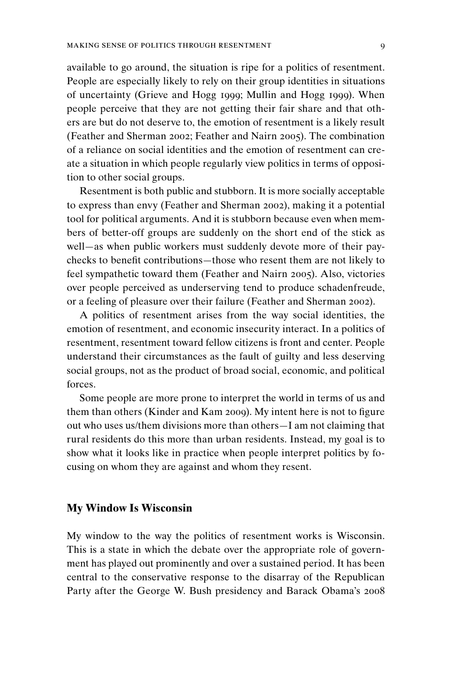available to go around, the situation is ripe for a politics of resentment. People are especially likely to rely on their group identities in situations of uncertainty (Grieve and Hogg 1999; Mullin and Hogg 1999). When people perceive that they are not getting their fair share and that others are but do not deserve to, the emotion of resentment is a likely result (Feather and Sherman 2002; Feather and Nairn 2005). The combination of a reliance on social identities and the emotion of resentment can create a situation in which people regularly view politics in terms of opposition to other social groups.

Resentment is both public and stubborn. It is more socially acceptable to express than envy (Feather and Sherman 2002), making it a potential tool for political arguments. And it is stubborn because even when members of better-off groups are suddenly on the short end of the stick as well— as when public workers must suddenly devote more of their paychecks to benefit contributions—those who resent them are not likely to feel sympathetic toward them (Feather and Nairn 2005). Also, victories over people perceived as underserving tend to produce schadenfreude, or a feeling of pleasure over their failure (Feather and Sherman 2002).

A politics of resentment arises from the way social identities, the emotion of resentment, and economic insecurity interact. In a politics of resentment, resentment toward fellow citizens is front and center. People understand their circumstances as the fault of guilty and less deserving social groups, not as the product of broad social, economic, and political forces.

Some people are more prone to interpret the world in terms of us and them than others (Kinder and Kam 2009). My intent here is not to figure out who uses us/them divisions more than others— I am not claiming that rural residents do this more than urban residents. Instead, my goal is to show what it looks like in practice when people interpret politics by focusing on whom they are against and whom they resent.

#### **My Window Is Wisconsin**

My window to the way the politics of resentment works is Wisconsin. This is a state in which the debate over the appropriate role of government has played out prominently and over a sustained period. It has been central to the conservative response to the disarray of the Republican Party after the George W. Bush presidency and Barack Obama's 2008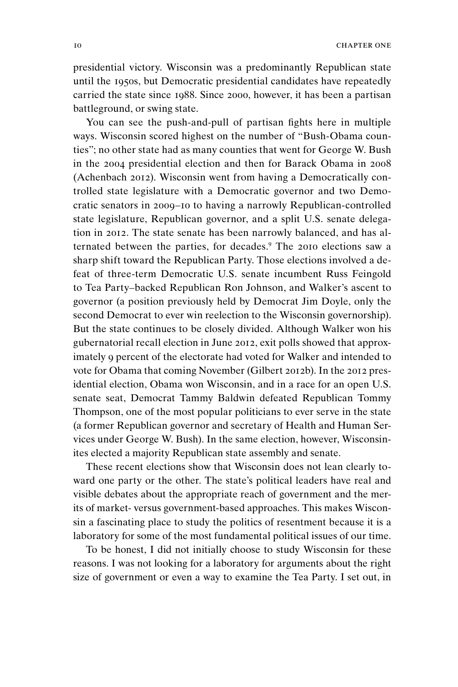presidential victory. Wisconsin was a predominantly Republican state until the 1950s, but Democratic presidential candidates have repeatedly carried the state since 1988. Since 2000, however, it has been a partisan battleground, or swing state.

You can see the push-and-pull of partisan fights here in multiple ways. Wisconsin scored highest on the number of "Bush- Obama counties"; no other state had as many counties that went for George W. Bush in the 2004 presidential election and then for Barack Obama in 2008 (Achenbach 2012). Wisconsin went from having a Democratically controlled state legislature with a Democratic governor and two Democratic senators in 2009– 10 to having a narrowly Republican- controlled state legislature, Republican governor, and a split U.S. senate delegation in 2012. The state senate has been narrowly balanced, and has alternated between the parties, for decades.9 The 2010 elections saw a sharp shift toward the Republican Party. Those elections involved a defeat of three- term Democratic U.S. senate incumbent Russ Feingold to Tea Party–backed Republican Ron Johnson, and Walker's ascent to governor (a position previously held by Democrat Jim Doyle, only the second Democrat to ever win reelection to the Wisconsin governorship). But the state continues to be closely divided. Although Walker won his gubernatorial recall election in June 2012, exit polls showed that approximately 9 percent of the electorate had voted for Walker and intended to vote for Obama that coming November (Gilbert 2012b). In the 2012 presidential election, Obama won Wisconsin, and in a race for an open U.S. senate seat, Democrat Tammy Baldwin defeated Republican Tommy Thompson, one of the most popular politicians to ever serve in the state (a former Republican governor and secretary of Health and Human Services under George W. Bush). In the same election, however, Wisconsinites elected a majority Republican state assembly and senate.

These recent elections show that Wisconsin does not lean clearly toward one party or the other. The state's political leaders have real and visible debates about the appropriate reach of government and the merits of market- versus government- based approaches. This makes Wisconsin a fascinating place to study the politics of resentment because it is a laboratory for some of the most fundamental political issues of our time.

To be honest, I did not initially choose to study Wisconsin for these reasons. I was not looking for a laboratory for arguments about the right size of government or even a way to examine the Tea Party. I set out, in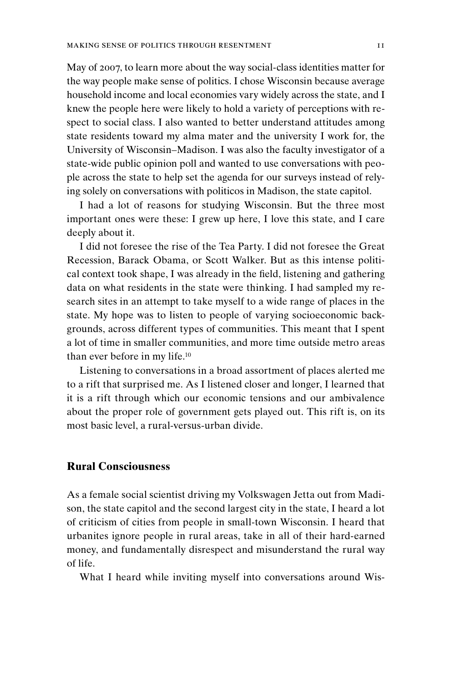May of 2007, to learn more about the way social- class identities matter for the way people make sense of politics. I chose Wisconsin because average household income and local economies vary widely across the state, and I knew the people here were likely to hold a variety of perceptions with respect to social class. I also wanted to better understand attitudes among state residents toward my alma mater and the university I work for, the University of Wisconsin-Madison. I was also the faculty investigator of a state- wide public opinion poll and wanted to use conversations with people across the state to help set the agenda for our surveys instead of relying solely on conversations with politicos in Madison, the state capitol.

I had a lot of reasons for studying Wisconsin. But the three most important ones were these: I grew up here, I love this state, and I care deeply about it.

I did not foresee the rise of the Tea Party. I did not foresee the Great Recession, Barack Obama, or Scott Walker. But as this intense political context took shape, I was already in the field, listening and gathering data on what residents in the state were thinking. I had sampled my research sites in an attempt to take myself to a wide range of places in the state. My hope was to listen to people of varying socioeconomic backgrounds, across different types of communities. This meant that I spent a lot of time in smaller communities, and more time outside metro areas than ever before in my life.10

Listening to conversations in a broad assortment of places alerted me to a rift that surprised me. As I listened closer and longer, I learned that it is a rift through which our economic tensions and our ambivalence about the proper role of government gets played out. This rift is, on its most basic level, a rural- versus- urban divide.

#### **Rural Consciousness**

As a female social scientist driving my Volkswagen Jetta out from Madison, the state capitol and the second largest city in the state, I heard a lot of criticism of cities from people in small- town Wisconsin. I heard that urbanites ignore people in rural areas, take in all of their hard- earned money, and fundamentally disrespect and misunderstand the rural way of life.

What I heard while inviting myself into conversations around Wis-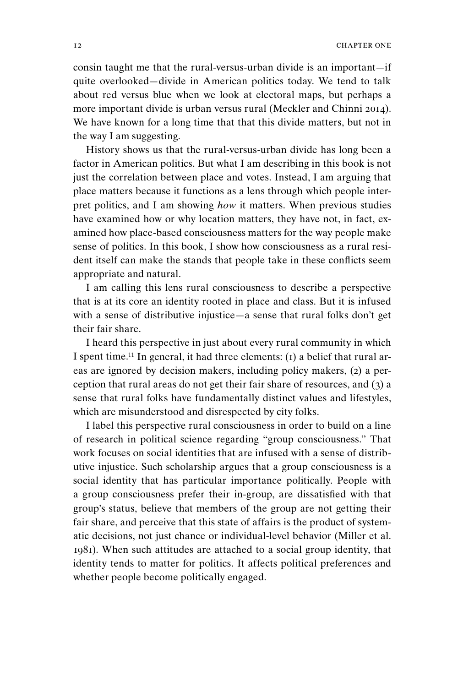consin taught me that the rural-versus-urban divide is an important—if quite overlooked— divide in American politics today. We tend to talk about red versus blue when we look at electoral maps, but perhaps a more important divide is urban versus rural (Meckler and Chinni 2014). We have known for a long time that that this divide matters, but not in the way I am suggesting.

History shows us that the rural-versus-urban divide has long been a factor in American politics. But what I am describing in this book is not just the correlation between place and votes. Instead, I am arguing that place matters because it functions as a lens through which people interpret politics, and I am showing *how* it matters. When previous studies have examined how or why location matters, they have not, in fact, examined how place-based consciousness matters for the way people make sense of politics. In this book, I show how consciousness as a rural resident itself can make the stands that people take in these conflicts seem appropriate and natural.

I am calling this lens rural consciousness to describe a perspective that is at its core an identity rooted in place and class. But it is infused with a sense of distributive injustice— a sense that rural folks don't get their fair share.

I heard this perspective in just about every rural community in which I spent time.<sup>11</sup> In general, it had three elements: (1) a belief that rural areas are ignored by decision makers, including policy makers, (2) a perception that rural areas do not get their fair share of resources, and (3) a sense that rural folks have fundamentally distinct values and lifestyles, which are misunderstood and disrespected by city folks.

I label this perspective rural consciousness in order to build on a line of research in political science regarding "group consciousness." That work focuses on social identities that are infused with a sense of distributive injustice. Such scholarship argues that a group consciousness is a social identity that has particular importance politically. People with a group consciousness prefer their in-group, are dissatisfied with that group's status, believe that members of the group are not getting their fair share, and perceive that this state of affairs is the product of systematic decisions, not just chance or individual- level behavior (Miller et al. 1981). When such attitudes are attached to a social group identity, that identity tends to matter for politics. It affects political preferences and whether people become politically engaged.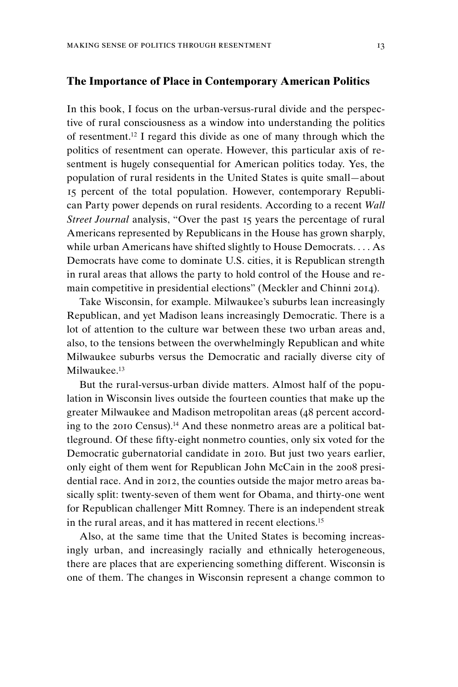#### **The Importance of Place in Contemporary American Politics**

In this book, I focus on the urban-versus-rural divide and the perspective of rural consciousness as a window into understanding the politics of resentment.12 I regard this divide as one of many through which the politics of resentment can operate. However, this particular axis of resentment is hugely consequential for American politics today. Yes, the population of rural residents in the United States is quite small— about 15 percent of the total population. However, contemporary Republican Party power depends on rural residents. According to a recent *Wall Street Journal* analysis, "Over the past 15 years the percentage of rural Americans represented by Republicans in the House has grown sharply, while urban Americans have shifted slightly to House Democrats. . . . As Democrats have come to dominate U.S. cities, it is Republican strength in rural areas that allows the party to hold control of the House and remain competitive in presidential elections" (Meckler and Chinni 2014).

Take Wisconsin, for example. Milwaukee's suburbs lean increasingly Republican, and yet Madison leans increasingly Democratic. There is a lot of attention to the culture war between these two urban areas and, also, to the tensions between the overwhelmingly Republican and white Milwaukee suburbs versus the Democratic and racially diverse city of Milwaukee.<sup>13</sup>

But the rural-versus-urban divide matters. Almost half of the population in Wisconsin lives outside the fourteen counties that make up the greater Milwaukee and Madison metropolitan areas (48 percent according to the 2010 Census).14 And these nonmetro areas are a political battleground. Of these fifty-eight nonmetro counties, only six voted for the Democratic gubernatorial candidate in 2010. But just two years earlier, only eight of them went for Republican John McCain in the 2008 presidential race. And in 2012, the counties outside the major metro areas basically split: twenty-seven of them went for Obama, and thirty-one went for Republican challenger Mitt Romney. There is an independent streak in the rural areas, and it has mattered in recent elections.15

Also, at the same time that the United States is becoming increasingly urban, and increasingly racially and ethnically heterogeneous, there are places that are experiencing something different. Wisconsin is one of them. The changes in Wisconsin represent a change common to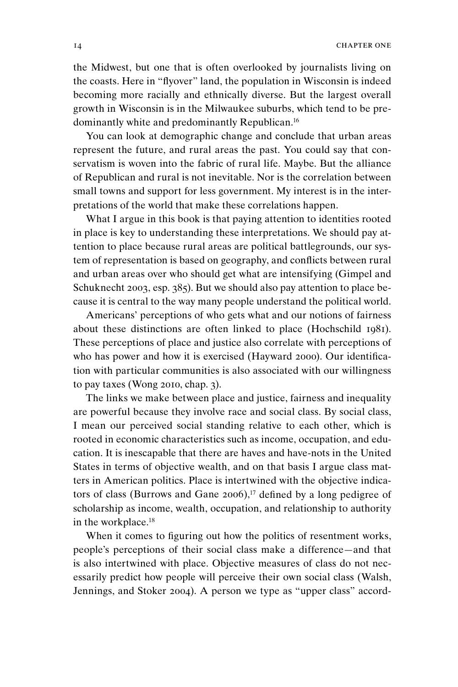the Midwest, but one that is often overlooked by journalists living on the coasts. Here in "flyover" land, the population in Wisconsin is indeed becoming more racially and ethnically diverse. But the largest overall growth in Wisconsin is in the Milwaukee suburbs, which tend to be predominantly white and predominantly Republican.16

You can look at demographic change and conclude that urban areas represent the future, and rural areas the past. You could say that conservatism is woven into the fabric of rural life. Maybe. But the alliance of Republican and rural is not inevitable. Nor is the correlation between small towns and support for less government. My interest is in the interpretations of the world that make these correlations happen.

What I argue in this book is that paying attention to identities rooted in place is key to understanding these interpretations. We should pay attention to place because rural areas are political battlegrounds, our system of representation is based on geography, and conflicts between rural and urban areas over who should get what are intensifying (Gimpel and Schuknecht 2003, esp. 385). But we should also pay attention to place because it is central to the way many people understand the political world.

Americans' perceptions of who gets what and our notions of fairness about these distinctions are often linked to place (Hochschild 1981). These perceptions of place and justice also correlate with perceptions of who has power and how it is exercised (Hayward 2000). Our identification with particular communities is also associated with our willingness to pay taxes (Wong 2010, chap. 3).

The links we make between place and justice, fairness and inequality are powerful because they involve race and social class. By social class, I mean our perceived social standing relative to each other, which is rooted in economic characteristics such as income, occupation, and education. It is inescapable that there are haves and have- nots in the United States in terms of objective wealth, and on that basis I argue class matters in American politics. Place is intertwined with the objective indicators of class (Burrows and Gane 2006),<sup>17</sup> defined by a long pedigree of scholarship as income, wealth, occupation, and relationship to authority in the workplace.<sup>18</sup>

When it comes to figuring out how the politics of resentment works, people's perceptions of their social class make a difference— and that is also intertwined with place. Objective measures of class do not necessarily predict how people will perceive their own social class (Walsh, Jennings, and Stoker 2004). A person we type as "upper class" accord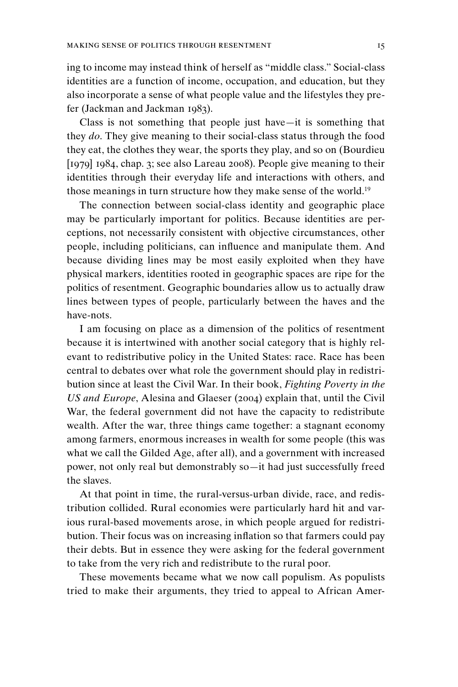ing to income may instead think of herself as "middle class." Social- class identities are a function of income, occupation, and education, but they also incorporate a sense of what people value and the lifestyles they prefer (Jackman and Jackman 1983).

Class is not something that people just have— it is something that they *do*. They give meaning to their social- class status through the food they eat, the clothes they wear, the sports they play, and so on (Bourdieu [1979] 1984, chap. 3; see also Lareau 2008). People give meaning to their identities through their everyday life and interactions with others, and those meanings in turn structure how they make sense of the world.<sup>19</sup>

The connection between social-class identity and geographic place may be particularly important for politics. Because identities are perceptions, not necessarily consistent with objective circumstances, other people, including politicians, can influence and manipulate them. And because dividing lines may be most easily exploited when they have physical markers, identities rooted in geographic spaces are ripe for the politics of resentment. Geographic boundaries allow us to actually draw lines between types of people, particularly between the haves and the have-nots.

I am focusing on place as a dimension of the politics of resentment because it is intertwined with another social category that is highly relevant to redistributive policy in the United States: race. Race has been central to debates over what role the government should play in redistribution since at least the Civil War. In their book, *Fighting Poverty in the US and Europe*, Alesina and Glaeser (2004) explain that, until the Civil War, the federal government did not have the capacity to redistribute wealth. After the war, three things came together: a stagnant economy among farmers, enormous increases in wealth for some people (this was what we call the Gilded Age, after all), and a government with increased power, not only real but demonstrably so— it had just successfully freed the slaves.

At that point in time, the rural-versus-urban divide, race, and redistribution collided. Rural economies were particularly hard hit and various rural-based movements arose, in which people argued for redistribution. Their focus was on increasing inflation so that farmers could pay their debts. But in essence they were asking for the federal government to take from the very rich and redistribute to the rural poor.

These movements became what we now call populism. As populists tried to make their arguments, they tried to appeal to African Amer-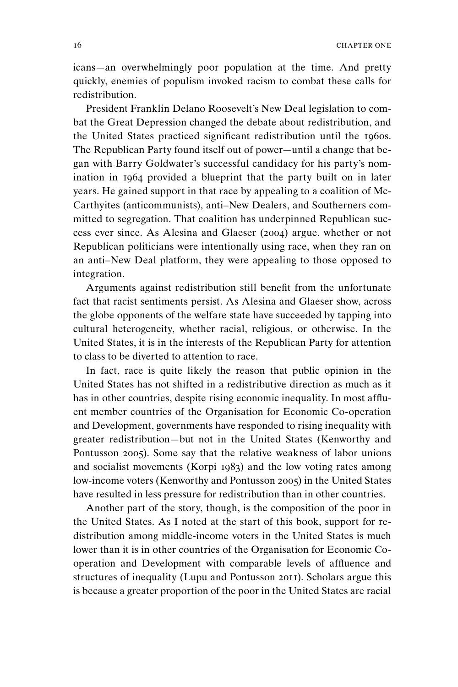icans—an overwhelmingly poor population at the time. And pretty quickly, enemies of populism invoked racism to combat these calls for redistribution.

President Franklin Delano Roosevelt's New Deal legislation to combat the Great Depression changed the debate about redistribution, and the United States practiced significant redistribution until the 1960s. The Republican Party found itself out of power— until a change that began with Barry Goldwater's successful candidacy for his party's nomination in 1964 provided a blueprint that the party built on in later years. He gained support in that race by appealing to a coalition of Mc-Carthyites (anticommunists), anti– New Dealers, and Southerners committed to segregation. That coalition has underpinned Republican success ever since. As Alesina and Glaeser (2004) argue, whether or not Republican politicians were intentionally using race, when they ran on an anti– New Deal platform, they were appealing to those opposed to integration.

Arguments against redistribution still benefit from the unfortunate fact that racist sentiments persist. As Alesina and Glaeser show, across the globe opponents of the welfare state have succeeded by tapping into cultural heterogeneity, whether racial, religious, or otherwise. In the United States, it is in the interests of the Republican Party for attention to class to be diverted to attention to race.

In fact, race is quite likely the reason that public opinion in the United States has not shifted in a redistributive direction as much as it has in other countries, despite rising economic inequality. In most affluent member countries of the Organisation for Economic Co- operation and Development, governments have responded to rising inequality with greater redistribution— but not in the United States (Kenworthy and Pontusson 2005). Some say that the relative weakness of labor unions and socialist movements (Korpi 1983) and the low voting rates among low- income voters (Kenworthy and Pontusson 2005) in the United States have resulted in less pressure for redistribution than in other countries.

Another part of the story, though, is the composition of the poor in the United States. As I noted at the start of this book, support for redistribution among middle-income voters in the United States is much lower than it is in other countries of the Organisation for Economic Cooperation and Development with comparable levels of affluence and structures of inequality (Lupu and Pontusson 2011). Scholars argue this is because a greater proportion of the poor in the United States are racial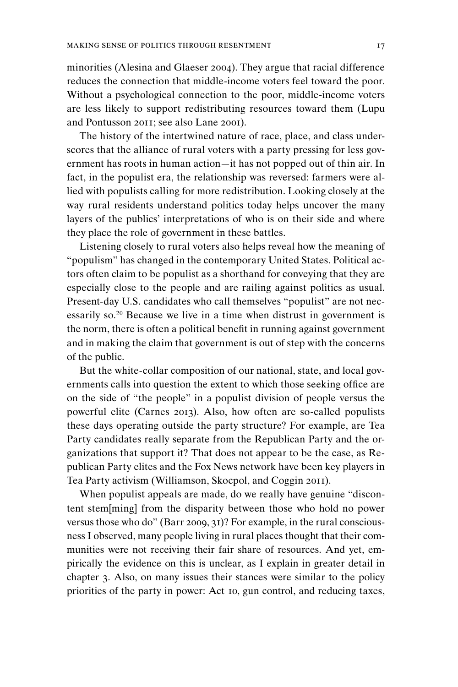minorities (Alesina and Glaeser 2004). They argue that racial difference reduces the connection that middle- income voters feel toward the poor. Without a psychological connection to the poor, middle-income voters are less likely to support redistributing resources toward them (Lupu and Pontusson 2011; see also Lane 2001).

The history of the intertwined nature of race, place, and class underscores that the alliance of rural voters with a party pressing for less government has roots in human action— it has not popped out of thin air. In fact, in the populist era, the relationship was reversed: farmers were allied with populists calling for more redistribution. Looking closely at the way rural residents understand politics today helps uncover the many layers of the publics' interpretations of who is on their side and where they place the role of government in these battles.

Listening closely to rural voters also helps reveal how the meaning of "populism" has changed in the contemporary United States. Political actors often claim to be populist as a shorthand for conveying that they are especially close to the people and are railing against politics as usual. Present-day U.S. candidates who call themselves "populist" are not necessarily so.20 Because we live in a time when distrust in government is the norm, there is often a political benefit in running against government and in making the claim that government is out of step with the concerns of the public.

But the white-collar composition of our national, state, and local governments calls into question the extent to which those seeking office are on the side of "the people" in a populist division of people versus the powerful elite (Carnes 2013). Also, how often are so-called populists these days operating outside the party structure? For example, are Tea Party candidates really separate from the Republican Party and the organizations that support it? That does not appear to be the case, as Republican Party elites and the Fox News network have been key players in Tea Party activism (Williamson, Skocpol, and Coggin 2011).

When populist appeals are made, do we really have genuine "discontent stem[ming] from the disparity between those who hold no power versus those who do" (Barr 2009, 31)? For example, in the rural consciousness I observed, many people living in rural places thought that their communities were not receiving their fair share of resources. And yet, empirically the evidence on this is unclear, as I explain in greater detail in chapter 3. Also, on many issues their stances were similar to the policy priorities of the party in power: Act 10, gun control, and reducing taxes,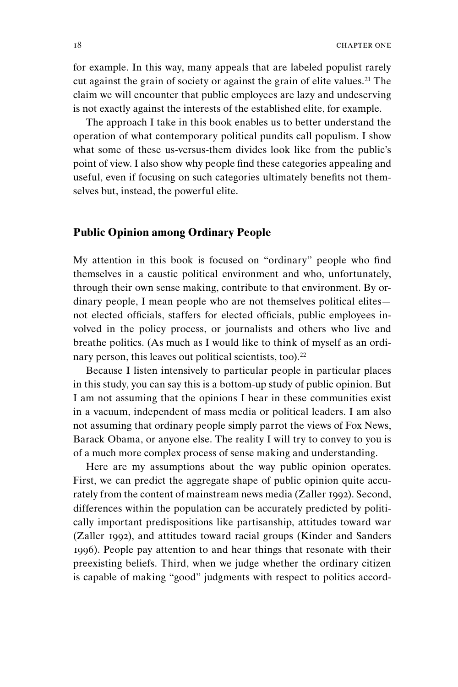for example. In this way, many appeals that are labeled populist rarely cut against the grain of society or against the grain of elite values.21 The claim we will encounter that public employees are lazy and undeserving is not exactly against the interests of the established elite, for example.

The approach I take in this book enables us to better understand the operation of what contemporary political pundits call populism. I show what some of these us-versus-them divides look like from the public's point of view. I also show why people find these categories appealing and useful, even if focusing on such categories ultimately benefits not themselves but, instead, the powerful elite.

### **Public Opinion among Ordinary People**

My attention in this book is focused on "ordinary" people who find themselves in a caustic political environment and who, unfortunately, through their own sense making, contribute to that environment. By ordinary people, I mean people who are not themselves political elites not elected officials, staffers for elected officials, public employees involved in the policy process, or journalists and others who live and breathe politics. (As much as I would like to think of myself as an ordinary person, this leaves out political scientists, too).<sup>22</sup>

Because I listen intensively to particular people in particular places in this study, you can say this is a bottom- up study of public opinion. But I am not assuming that the opinions I hear in these communities exist in a vacuum, independent of mass media or political leaders. I am also not assuming that ordinary people simply parrot the views of Fox News, Barack Obama, or anyone else. The reality I will try to convey to you is of a much more complex process of sense making and understanding.

Here are my assumptions about the way public opinion operates. First, we can predict the aggregate shape of public opinion quite accurately from the content of mainstream news media (Zaller 1992). Second, differences within the population can be accurately predicted by politically important predispositions like partisanship, attitudes toward war (Zaller 1992), and attitudes toward racial groups (Kinder and Sanders 1996). People pay attention to and hear things that resonate with their preexisting beliefs. Third, when we judge whether the ordinary citizen is capable of making "good" judgments with respect to politics accord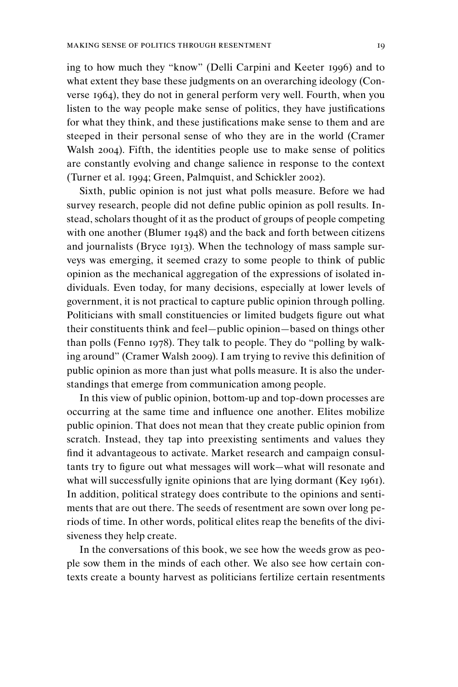ing to how much they "know" (Delli Carpini and Keeter 1996) and to what extent they base these judgments on an overarching ideology (Converse 1964), they do not in general perform very well. Fourth, when you listen to the way people make sense of politics, they have justifications for what they think, and these justifications make sense to them and are steeped in their personal sense of who they are in the world (Cramer Walsh 2004). Fifth, the identities people use to make sense of politics are constantly evolving and change salience in response to the context (Turner et al. 1994; Green, Palmquist, and Schickler 2002).

Sixth, public opinion is not just what polls measure. Before we had survey research, people did not define public opinion as poll results. Instead, scholars thought of it as the product of groups of people competing with one another (Blumer 1948) and the back and forth between citizens and journalists (Bryce 1913). When the technology of mass sample surveys was emerging, it seemed crazy to some people to think of public opinion as the mechanical aggregation of the expressions of isolated individuals. Even today, for many decisions, especially at lower levels of government, it is not practical to capture public opinion through polling. Politicians with small constituencies or limited budgets figure out what their constituents think and feel— public opinion— based on things other than polls (Fenno 1978). They talk to people. They do "polling by walking around" (Cramer Walsh 2009). I am trying to revive this definition of public opinion as more than just what polls measure. It is also the understandings that emerge from communication among people.

In this view of public opinion, bottom- up and top- down processes are occurring at the same time and influence one another. Elites mobilize public opinion. That does not mean that they create public opinion from scratch. Instead, they tap into preexisting sentiments and values they find it advantageous to activate. Market research and campaign consultants try to figure out what messages will work-what will resonate and what will successfully ignite opinions that are lying dormant (Key 1961). In addition, political strategy does contribute to the opinions and sentiments that are out there. The seeds of resentment are sown over long periods of time. In other words, political elites reap the benefits of the divisiveness they help create.

In the conversations of this book, we see how the weeds grow as people sow them in the minds of each other. We also see how certain contexts create a bounty harvest as politicians fertilize certain resentments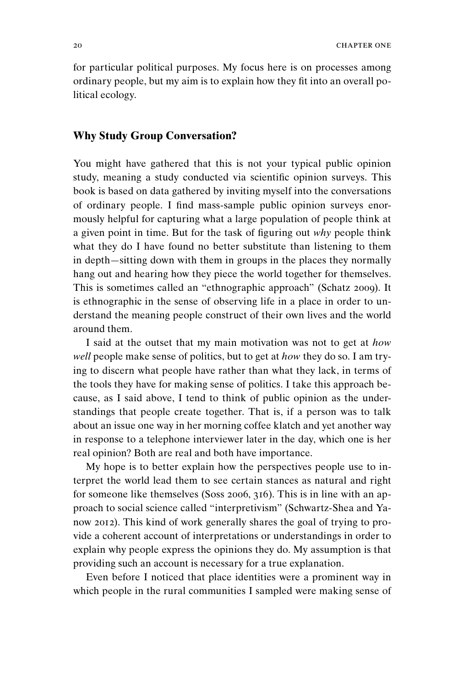#### **Why Study Group Conversation?**

You might have gathered that this is not your typical public opinion study, meaning a study conducted via scientific opinion surveys. This book is based on data gathered by inviting myself into the conversations of ordinary people. I find mass-sample public opinion surveys enormously helpful for capturing what a large population of people think at a given point in time. But for the task of figuring out *why* people think what they do I have found no better substitute than listening to them in depth— sitting down with them in groups in the places they normally hang out and hearing how they piece the world together for themselves. This is sometimes called an "ethnographic approach" (Schatz 2009). It is ethnographic in the sense of observing life in a place in order to understand the meaning people construct of their own lives and the world around them.

I said at the outset that my main motivation was not to get at *how well* people make sense of politics, but to get at *how* they do so. I am trying to discern what people have rather than what they lack, in terms of the tools they have for making sense of politics. I take this approach because, as I said above, I tend to think of public opinion as the understandings that people create together. That is, if a person was to talk about an issue one way in her morning coffee klatch and yet another way in response to a telephone interviewer later in the day, which one is her real opinion? Both are real and both have importance.

My hope is to better explain how the perspectives people use to interpret the world lead them to see certain stances as natural and right for someone like themselves (Soss 2006, 316). This is in line with an approach to social science called "interpretivism" (Schwartz- Shea and Yanow 2012). This kind of work generally shares the goal of trying to provide a coherent account of interpretations or understandings in order to explain why people express the opinions they do. My assumption is that providing such an account is necessary for a true explanation.

Even before I noticed that place identities were a prominent way in which people in the rural communities I sampled were making sense of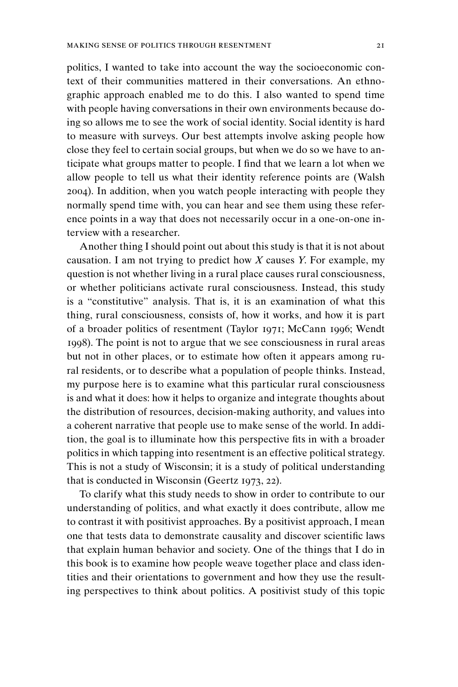politics, I wanted to take into account the way the socioeconomic context of their communities mattered in their conversations. An ethnographic approach enabled me to do this. I also wanted to spend time with people having conversations in their own environments because doing so allows me to see the work of social identity. Social identity is hard to measure with surveys. Our best attempts involve asking people how close they feel to certain social groups, but when we do so we have to anticipate what groups matter to people. I find that we learn a lot when we allow people to tell us what their identity reference points are (Walsh 2004). In addition, when you watch people interacting with people they normally spend time with, you can hear and see them using these reference points in a way that does not necessarily occur in a one-on-one interview with a researcher.

Another thing I should point out about this study is that it is not about causation. I am not trying to predict how *X* causes *Y*. For example, my question is not whether living in a rural place causes rural consciousness, or whether politicians activate rural consciousness. Instead, this study is a "constitutive" analysis. That is, it is an examination of what this thing, rural consciousness, consists of, how it works, and how it is part of a broader politics of resentment (Taylor 1971; McCann 1996; Wendt 1998). The point is not to argue that we see consciousness in rural areas but not in other places, or to estimate how often it appears among rural residents, or to describe what a population of people thinks. Instead, my purpose here is to examine what this particular rural consciousness is and what it does: how it helps to organize and integrate thoughts about the distribution of resources, decision- making authority, and values into a coherent narrative that people use to make sense of the world. In addition, the goal is to illuminate how this perspective fits in with a broader politics in which tapping into resentment is an effective political strategy. This is not a study of Wisconsin; it is a study of political understanding that is conducted in Wisconsin (Geertz 1973, 22).

To clarify what this study needs to show in order to contribute to our understanding of politics, and what exactly it does contribute, allow me to contrast it with positivist approaches. By a positivist approach, I mean one that tests data to demonstrate causality and discover scientific laws that explain human behavior and society. One of the things that I do in this book is to examine how people weave together place and class identities and their orientations to government and how they use the resulting perspectives to think about politics. A positivist study of this topic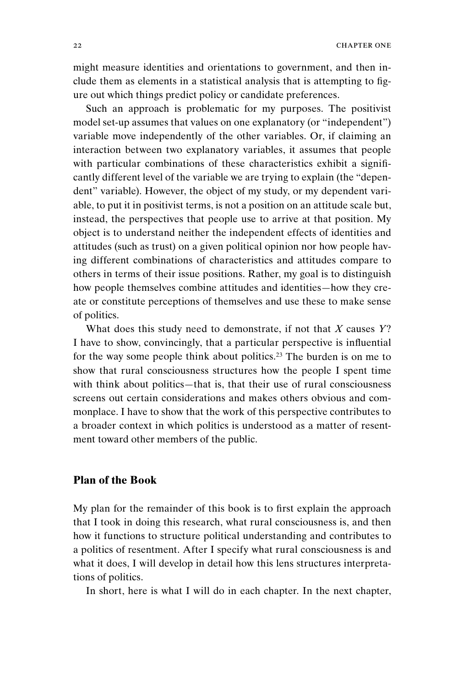might measure identities and orientations to government, and then include them as elements in a statistical analysis that is attempting to figure out which things predict policy or candidate preferences.

Such an approach is problematic for my purposes. The positivist model set-up assumes that values on one explanatory (or "independent") variable move independently of the other variables. Or, if claiming an interaction between two explanatory variables, it assumes that people with particular combinations of these characteristics exhibit a significantly different level of the variable we are trying to explain (the "dependent" variable). However, the object of my study, or my dependent variable, to put it in positivist terms, is not a position on an attitude scale but, instead, the perspectives that people use to arrive at that position. My object is to understand neither the independent effects of identities and attitudes (such as trust) on a given political opinion nor how people having different combinations of characteristics and attitudes compare to others in terms of their issue positions. Rather, my goal is to distinguish how people themselves combine attitudes and identities— how they create or constitute perceptions of themselves and use these to make sense of politics.

What does this study need to demonstrate, if not that *X* causes *Y*? I have to show, convincingly, that a particular perspective is influential for the way some people think about politics.<sup>23</sup> The burden is on me to show that rural consciousness structures how the people I spent time with think about politics— that is, that their use of rural consciousness screens out certain considerations and makes others obvious and commonplace. I have to show that the work of this perspective contributes to a broader context in which politics is understood as a matter of resentment toward other members of the public.

#### **Plan of the Book**

My plan for the remainder of this book is to first explain the approach that I took in doing this research, what rural consciousness is, and then how it functions to structure political understanding and contributes to a politics of resentment. After I specify what rural consciousness is and what it does, I will develop in detail how this lens structures interpretations of politics.

In short, here is what I will do in each chapter. In the next chapter,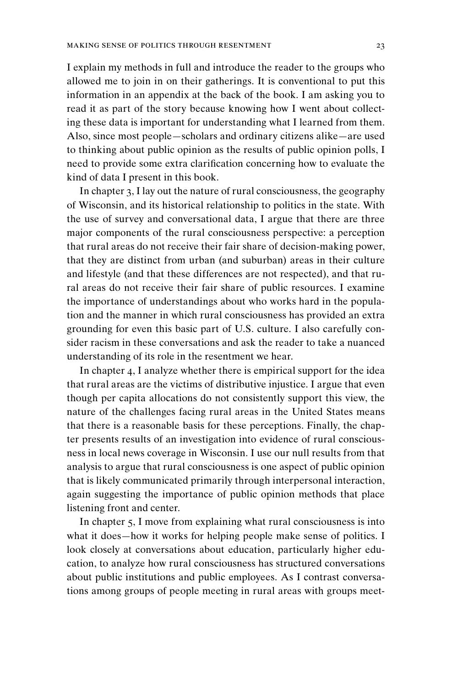I explain my methods in full and introduce the reader to the groups who allowed me to join in on their gatherings. It is conventional to put this information in an appendix at the back of the book. I am asking you to read it as part of the story because knowing how I went about collecting these data is important for understanding what I learned from them. Also, since most people— scholars and ordinary citizens alike— are used to thinking about public opinion as the results of public opinion polls, I need to provide some extra clarification concerning how to evaluate the kind of data I present in this book.

In chapter 3, I lay out the nature of rural consciousness, the geography of Wisconsin, and its historical relationship to politics in the state. With the use of survey and conversational data, I argue that there are three major components of the rural consciousness perspective: a perception that rural areas do not receive their fair share of decision- making power, that they are distinct from urban (and suburban) areas in their culture and lifestyle (and that these differences are not respected), and that rural areas do not receive their fair share of public resources. I examine the importance of understandings about who works hard in the population and the manner in which rural consciousness has provided an extra grounding for even this basic part of U.S. culture. I also carefully consider racism in these conversations and ask the reader to take a nuanced understanding of its role in the resentment we hear.

In chapter 4, I analyze whether there is empirical support for the idea that rural areas are the victims of distributive injustice. I argue that even though per capita allocations do not consistently support this view, the nature of the challenges facing rural areas in the United States means that there is a reasonable basis for these perceptions. Finally, the chapter presents results of an investigation into evidence of rural consciousness in local news coverage in Wisconsin. I use our null results from that analysis to argue that rural consciousness is one aspect of public opinion that is likely communicated primarily through interpersonal interaction, again suggesting the importance of public opinion methods that place listening front and center.

In chapter 5, I move from explaining what rural consciousness is into what it does—how it works for helping people make sense of politics. I look closely at conversations about education, particularly higher education, to analyze how rural consciousness has structured conversations about public institutions and public employees. As I contrast conversations among groups of people meeting in rural areas with groups meet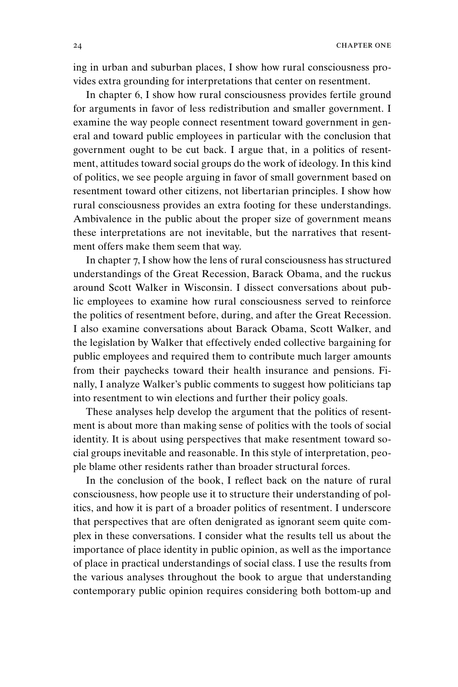ing in urban and suburban places, I show how rural consciousness provides extra grounding for interpretations that center on resentment.

In chapter 6, I show how rural consciousness provides fertile ground for arguments in favor of less redistribution and smaller government. I examine the way people connect resentment toward government in general and toward public employees in particular with the conclusion that government ought to be cut back. I argue that, in a politics of resentment, attitudes toward social groups do the work of ideology. In this kind of politics, we see people arguing in favor of small government based on resentment toward other citizens, not libertarian principles. I show how rural consciousness provides an extra footing for these understandings. Ambivalence in the public about the proper size of government means these interpretations are not inevitable, but the narratives that resentment offers make them seem that way.

In chapter 7, I show how the lens of rural consciousness has structured understandings of the Great Recession, Barack Obama, and the ruckus around Scott Walker in Wisconsin. I dissect conversations about public employees to examine how rural consciousness served to reinforce the politics of resentment before, during, and after the Great Recession. I also examine conversations about Barack Obama, Scott Walker, and the legislation by Walker that effectively ended collective bargaining for public employees and required them to contribute much larger amounts from their paychecks toward their health insurance and pensions. Finally, I analyze Walker's public comments to suggest how politicians tap into resentment to win elections and further their policy goals.

These analyses help develop the argument that the politics of resentment is about more than making sense of politics with the tools of social identity. It is about using perspectives that make resentment toward social groups inevitable and reasonable. In this style of interpretation, people blame other residents rather than broader structural forces.

In the conclusion of the book, I reflect back on the nature of rural consciousness, how people use it to structure their understanding of politics, and how it is part of a broader politics of resentment. I underscore that perspectives that are often denigrated as ignorant seem quite complex in these conversations. I consider what the results tell us about the importance of place identity in public opinion, as well as the importance of place in practical understandings of social class. I use the results from the various analyses throughout the book to argue that understanding contemporary public opinion requires considering both bottom-up and